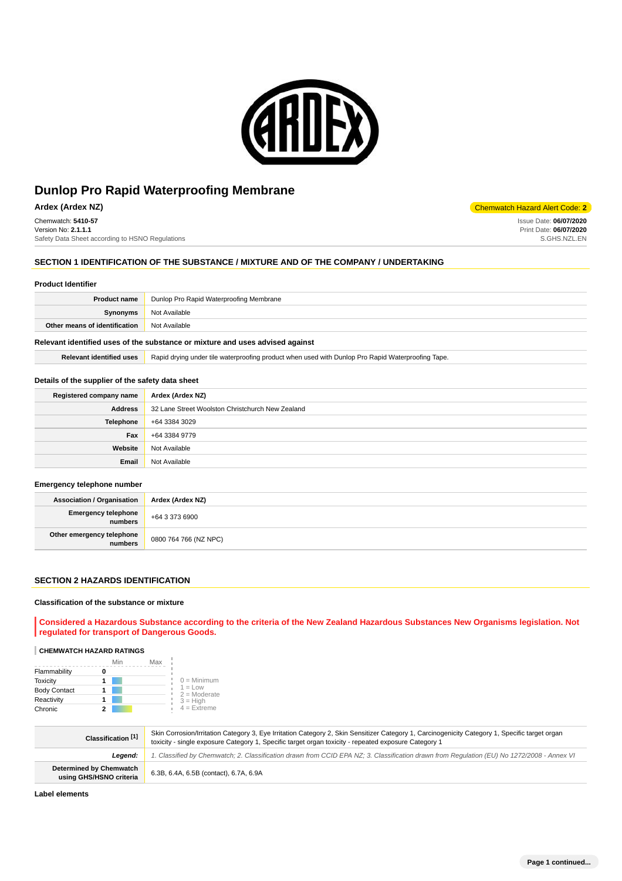

**Ardex (Ardex NZ)** Chemwatch Hazard Alert Code: **2** 

Chemwatch: **5410-57** Version No: **2.1.1.1** Safety Data Sheet according to HSNO Regulations

# **SECTION 1 IDENTIFICATION OF THE SUBSTANCE / MIXTURE AND OF THE COMPANY / UNDERTAKING**

#### **Product Identifier**

| <b>Product name</b>           | Dunlop Pro Rapid Waterproofing Membrane |
|-------------------------------|-----------------------------------------|
| Synonyms                      | Not Available                           |
| Other means of identification | Not Available                           |
|                               |                                         |

## **Relevant identified uses of the substance or mixture and uses advised against**

Relevant identified uses **Rapid drying under tile waterproofing product when used with Dunlop Pro Rapid Waterproofing Tape.** 

#### **Details of the supplier of the safety data sheet**

| Registered company name | Ardex (Ardex NZ)                                 |
|-------------------------|--------------------------------------------------|
| <b>Address</b>          | 32 Lane Street Woolston Christchurch New Zealand |
| <b>Telephone</b>        | +64 3384 3029                                    |
| Fax                     | +64 3384 9779                                    |
| Website                 | Not Available                                    |
| Email                   | Not Available                                    |

#### **Emergency telephone number**

| <b>Association / Organisation</b>            | Ardex (Ardex NZ)      |
|----------------------------------------------|-----------------------|
| <b>Emergency telephone</b><br><b>numbers</b> | +64 3 373 6900        |
| Other emergency telephone<br>  numbers       | 0800 764 766 (NZ NPC) |

#### **SECTION 2 HAZARDS IDENTIFICATION**

#### **Classification of the substance or mixture**

**Considered a Hazardous Substance according to the criteria of the New Zealand Hazardous Substances New Organisms legislation. Not regulated for transport of Dangerous Goods.**

# **CHEMWATCH HAZARD RATINGS**

|                     | Min | Max                         |
|---------------------|-----|-----------------------------|
| Flammability        |     |                             |
| <b>Toxicity</b>     |     | $0 =$ Minimum               |
| <b>Body Contact</b> |     | $1 = Low$<br>$2 =$ Moderate |
| Reactivity          |     | $3 = High$                  |
| Chronic             |     | $4 = Ex$ treme              |

| Classification [1]                                        | Skin Corrosion/Irritation Category 3, Eye Irritation Category 2, Skin Sensitizer Category 1, Carcinogenicity Category 1, Specific target organ<br>toxicity - single exposure Category 1, Specific target organ toxicity - repeated exposure Category 1 |
|-----------------------------------------------------------|--------------------------------------------------------------------------------------------------------------------------------------------------------------------------------------------------------------------------------------------------------|
| Leaend:                                                   | 1. Classified by Chemwatch; 2. Classification drawn from CCID EPA NZ; 3. Classification drawn from Requlation (EU) No 1272/2008 - Annex VI                                                                                                             |
| <b>Determined by Chemwatch</b><br>using GHS/HSNO criteria | 6.3B, 6.4A, 6.5B (contact), 6.7A, 6.9A                                                                                                                                                                                                                 |

**Label elements**

Issue Date: **06/07/2020** Print Date: **06/07/2020** S.GHS.NZL.EN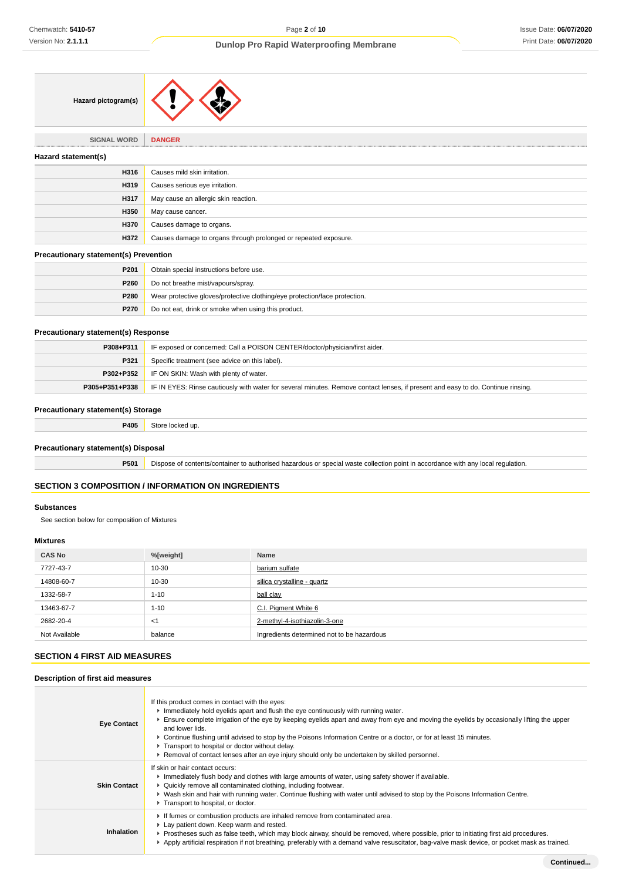| Hazard pictogram(s) |  |  |
|---------------------|--|--|
|---------------------|--|--|

**SIGNAL WORD DANGER**

| Hazard statement(s) |                                                                 |
|---------------------|-----------------------------------------------------------------|
| H316                | Causes mild skin irritation.                                    |
| H319                | Causes serious eye irritation.                                  |
| H317                | May cause an allergic skin reaction.                            |
| H350                | May cause cancer.                                               |
| <b>H370</b>         | Causes damage to organs.                                        |
| H372                | Causes damage to organs through prolonged or repeated exposure. |
| .                   |                                                                 |

#### **Precautionary statement(s) Prevention**

| P201        | Obtain special instructions before use.                                    |
|-------------|----------------------------------------------------------------------------|
| P260        | Do not breathe mist/vapours/spray.                                         |
| P280        | Wear protective gloves/protective clothing/eye protection/face protection. |
| <b>P270</b> | Do not eat, drink or smoke when using this product.                        |

# **Precautionary statement(s) Response**

| P308+P311 | IF exposed or concerned: Call a POISON CENTER/doctor/physician/first aider.                                                                       |
|-----------|---------------------------------------------------------------------------------------------------------------------------------------------------|
| P321      | Specific treatment (see advice on this label).                                                                                                    |
|           | <b>P302+P352</b> IF ON SKIN: Wash with plenty of water.                                                                                           |
|           | P305+P351+P338   IF IN EYES: Rinse cautiously with water for several minutes. Remove contact lenses, if present and easy to do. Continue rinsing. |

## **Precautionary statement(s) Storage**

**P405** Store locked up.

## **Precautionary statement(s) Disposal**

**P501** Dispose of contents/container to authorised hazardous or special waste collection point in accordance with any local regulation.

# **SECTION 3 COMPOSITION / INFORMATION ON INGREDIENTS**

#### **Substances**

See section below for composition of Mixtures

## **Mixtures**

| <b>CAS No</b> | %[weight] | Name                                       |
|---------------|-----------|--------------------------------------------|
| 7727-43-7     | 10-30     | barium sulfate                             |
| 14808-60-7    | 10-30     | silica crystalline - quartz                |
| 1332-58-7     | $1 - 10$  | ball clay                                  |
| 13463-67-7    | $1 - 10$  | C.I. Pigment White 6                       |
| 2682-20-4     | $<$ 1     | 2-methyl-4-isothiazolin-3-one              |
| Not Available | balance   | Ingredients determined not to be hazardous |

# **SECTION 4 FIRST AID MEASURES**

#### **Description of first aid measures**

| <b>Eye Contact</b>  | If this product comes in contact with the eyes:<br>Immediately hold eyelids apart and flush the eye continuously with running water.<br>Ensure complete irrigation of the eye by keeping eyelids apart and away from eye and moving the eyelids by occasionally lifting the upper<br>and lower lids.<br>► Continue flushing until advised to stop by the Poisons Information Centre or a doctor, or for at least 15 minutes.<br>Transport to hospital or doctor without delay.<br>▶ Removal of contact lenses after an eye injury should only be undertaken by skilled personnel. |
|---------------------|-----------------------------------------------------------------------------------------------------------------------------------------------------------------------------------------------------------------------------------------------------------------------------------------------------------------------------------------------------------------------------------------------------------------------------------------------------------------------------------------------------------------------------------------------------------------------------------|
| <b>Skin Contact</b> | If skin or hair contact occurs:<br>Immediately flush body and clothes with large amounts of water, using safety shower if available.<br>▶ Quickly remove all contaminated clothing, including footwear.<br>▶ Wash skin and hair with running water. Continue flushing with water until advised to stop by the Poisons Information Centre.<br>Transport to hospital, or doctor.                                                                                                                                                                                                    |
| Inhalation          | If fumes or combustion products are inhaled remove from contaminated area.<br>Lay patient down. Keep warm and rested.<br>▶ Prostheses such as false teeth, which may block airway, should be removed, where possible, prior to initiating first aid procedures.<br>Apply artificial respiration if not breathing, preferably with a demand valve resuscitator, bag-valve mask device, or pocket mask as trained.                                                                                                                                                                  |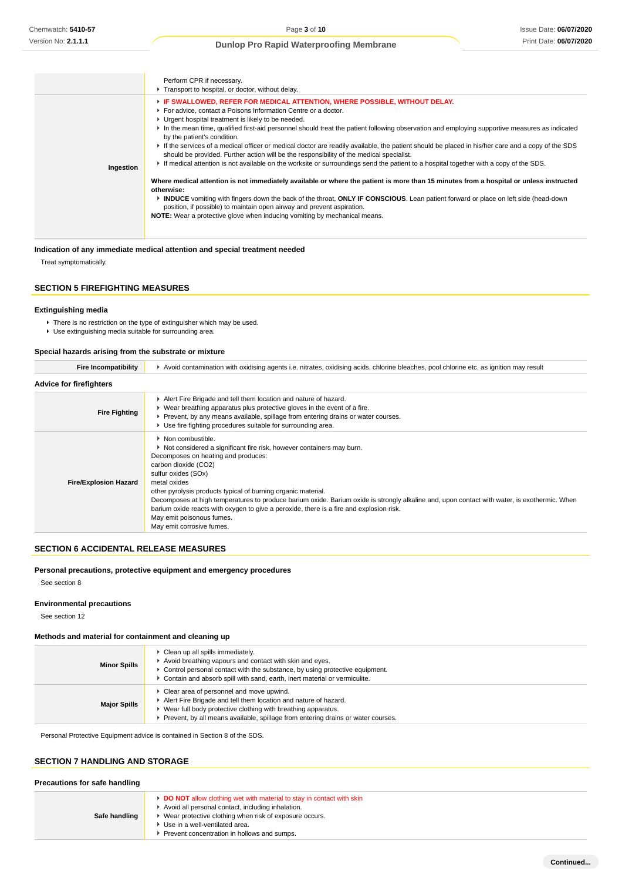|           | Perform CPR if necessary.<br>Transport to hospital, or doctor, without delay.                                                                                                                                                                                                                                                                                                                                                                                                                                                                                                                                                                                                                                                                                                                                                                                                                                                                                                                                                                                                                                                                                                                                                            |
|-----------|------------------------------------------------------------------------------------------------------------------------------------------------------------------------------------------------------------------------------------------------------------------------------------------------------------------------------------------------------------------------------------------------------------------------------------------------------------------------------------------------------------------------------------------------------------------------------------------------------------------------------------------------------------------------------------------------------------------------------------------------------------------------------------------------------------------------------------------------------------------------------------------------------------------------------------------------------------------------------------------------------------------------------------------------------------------------------------------------------------------------------------------------------------------------------------------------------------------------------------------|
| Ingestion | F IF SWALLOWED, REFER FOR MEDICAL ATTENTION, WHERE POSSIBLE, WITHOUT DELAY.<br>For advice, contact a Poisons Information Centre or a doctor.<br>• Urgent hospital treatment is likely to be needed.<br>In the mean time, qualified first-aid personnel should treat the patient following observation and employing supportive measures as indicated<br>by the patient's condition.<br>If the services of a medical officer or medical doctor are readily available, the patient should be placed in his/her care and a copy of the SDS<br>should be provided. Further action will be the responsibility of the medical specialist.<br>If medical attention is not available on the worksite or surroundings send the patient to a hospital together with a copy of the SDS.<br>Where medical attention is not immediately available or where the patient is more than 15 minutes from a hospital or unless instructed<br>otherwise:<br>INDUCE vomiting with fingers down the back of the throat, ONLY IF CONSCIOUS. Lean patient forward or place on left side (head-down<br>position, if possible) to maintain open airway and prevent aspiration.<br><b>NOTE:</b> Wear a protective glove when inducing vomiting by mechanical means. |

## **Indication of any immediate medical attention and special treatment needed**

Treat symptomatically.

# **SECTION 5 FIREFIGHTING MEASURES**

#### **Extinguishing media**

▶ There is no restriction on the type of extinguisher which may be used.

Use extinguishing media suitable for surrounding area.

#### **Special hazards arising from the substrate or mixture**

| <b>Fire Incompatibility</b>    | ▶ Avoid contamination with oxidising agents i.e. nitrates, oxidising acids, chlorine bleaches, pool chlorine etc. as ignition may result                                                                                                                                                                                                                                                                                                                                                                                                                                 |  |  |  |
|--------------------------------|--------------------------------------------------------------------------------------------------------------------------------------------------------------------------------------------------------------------------------------------------------------------------------------------------------------------------------------------------------------------------------------------------------------------------------------------------------------------------------------------------------------------------------------------------------------------------|--|--|--|
| <b>Advice for firefighters</b> |                                                                                                                                                                                                                                                                                                                                                                                                                                                                                                                                                                          |  |  |  |
| <b>Fire Fighting</b>           | Alert Fire Brigade and tell them location and nature of hazard.<br>▶ Wear breathing apparatus plus protective gloves in the event of a fire.<br>► Prevent, by any means available, spillage from entering drains or water courses.<br>▶ Use fire fighting procedures suitable for surrounding area.                                                                                                                                                                                                                                                                      |  |  |  |
| <b>Fire/Explosion Hazard</b>   | • Non combustible.<br>▶ Not considered a significant fire risk, however containers may burn.<br>Decomposes on heating and produces:<br>carbon dioxide (CO2)<br>sulfur oxides (SOx)<br>metal oxides<br>other pyrolysis products typical of burning organic material.<br>Decomposes at high temperatures to produce barium oxide. Barium oxide is strongly alkaline and, upon contact with water, is exothermic. When<br>barium oxide reacts with oxygen to give a peroxide, there is a fire and explosion risk.<br>May emit poisonous fumes.<br>May emit corrosive fumes. |  |  |  |

## **SECTION 6 ACCIDENTAL RELEASE MEASURES**

## **Personal precautions, protective equipment and emergency procedures**

See section 8

#### **Environmental precautions**

See section 12

#### **Methods and material for containment and cleaning up**

| <b>Minor Spills</b> | Clean up all spills immediately.<br>Avoid breathing vapours and contact with skin and eyes.<br>$\blacktriangleright$ Control personal contact with the substance, by using protective equipment.<br>Contain and absorb spill with sand, earth, inert material or vermiculite. |
|---------------------|-------------------------------------------------------------------------------------------------------------------------------------------------------------------------------------------------------------------------------------------------------------------------------|
| <b>Major Spills</b> | Clear area of personnel and move upwind.<br>Alert Fire Brigade and tell them location and nature of hazard.<br>Wear full body protective clothing with breathing apparatus.<br>Prevent, by all means available, spillage from entering drains or water courses.               |

Personal Protective Equipment advice is contained in Section 8 of the SDS.

# **SECTION 7 HANDLING AND STORAGE**

## **Precautions for safe handling**

| Safe handling |
|---------------|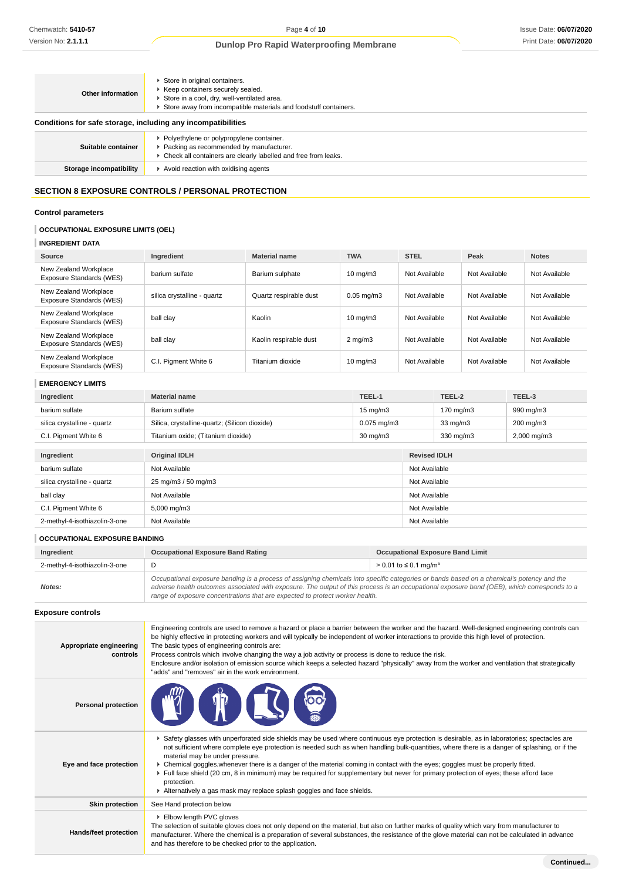| Store in a cool, dry, well-ventilated area.<br>Store away from incompatible materials and foodstuff containers.                                             |
|-------------------------------------------------------------------------------------------------------------------------------------------------------------|
| Conditions for safe storage, including any incompatibilities                                                                                                |
| • Polyethylene or polypropylene container.<br>▶ Packing as recommended by manufacturer.<br>• Check all containers are clearly labelled and free from leaks. |
| Avoid reaction with oxidising agents                                                                                                                        |
|                                                                                                                                                             |

# **SECTION 8 EXPOSURE CONTROLS / PERSONAL PROTECTION**

# **Control parameters**

# **OCCUPATIONAL EXPOSURE LIMITS (OEL)**

# **INGREDIENT DATA**

| Source                                            | Ingredient                  | <b>Material name</b>   | <b>TWA</b>        | <b>STEL</b>   | Peak          | <b>Notes</b>  |
|---------------------------------------------------|-----------------------------|------------------------|-------------------|---------------|---------------|---------------|
| New Zealand Workplace<br>Exposure Standards (WES) | barium sulfate              | Barium sulphate        | $10 \text{ mg/m}$ | Not Available | Not Available | Not Available |
| New Zealand Workplace<br>Exposure Standards (WES) | silica crystalline - quartz | Quartz respirable dust | $0.05$ ma/m $3$   | Not Available | Not Available | Not Available |
| New Zealand Workplace<br>Exposure Standards (WES) | ball clay                   | Kaolin                 | $10 \text{ mg/m}$ | Not Available | Not Available | Not Available |
| New Zealand Workplace<br>Exposure Standards (WES) | ball clay                   | Kaolin respirable dust | $2 \text{ mg/m}$  | Not Available | Not Available | Not Available |
| New Zealand Workplace<br>Exposure Standards (WES) | C.I. Pigment White 6        | Titanium dioxide       | $10 \text{ mg/m}$ | Not Available | Not Available | Not Available |

# **EMERGENCY LIMITS**

| Ingredient                    | <b>Material name</b>                          | TEEL-1            |               | TEEL-2              | TEEL-3      |  |
|-------------------------------|-----------------------------------------------|-------------------|---------------|---------------------|-------------|--|
| barium sulfate                | Barium sulfate                                | $15 \text{ mg/m}$ |               | 170 mg/m3           | 990 mg/m3   |  |
| silica crystalline - quartz   | Silica, crystalline-quartz; (Silicon dioxide) | $0.075$ mg/m $3$  |               | $33 \text{ mg/m}$   | 200 mg/m3   |  |
| C.I. Pigment White 6          | Titanium oxide; (Titanium dioxide)            | $30 \text{ mg/m}$ |               | 330 mg/m3           | 2,000 mg/m3 |  |
|                               |                                               |                   |               |                     |             |  |
| Ingredient                    | <b>Original IDLH</b>                          |                   |               | <b>Revised IDLH</b> |             |  |
| barium sulfate                | Not Available                                 |                   |               | Not Available       |             |  |
| silica crystalline - quartz   | 25 mg/m3 / 50 mg/m3                           |                   | Not Available |                     |             |  |
| ball clay                     | Not Available                                 |                   | Not Available |                     |             |  |
| C.I. Pigment White 6          | 5,000 mg/m3                                   |                   | Not Available |                     |             |  |
| 2-methyl-4-isothiazolin-3-one | Not Available                                 |                   |               | Not Available       |             |  |

# **OCCUPATIONAL EXPOSURE BANDING**

| Ingredient                    | <b>Occupational Exposure Band Rating</b>                                                                                                                                                                                                                                                                                                                                 | <b>Occupational Exposure Band Limit</b> |  |
|-------------------------------|--------------------------------------------------------------------------------------------------------------------------------------------------------------------------------------------------------------------------------------------------------------------------------------------------------------------------------------------------------------------------|-----------------------------------------|--|
| 2-methyl-4-isothiazolin-3-one |                                                                                                                                                                                                                                                                                                                                                                          | > 0.01 to ≤ 0.1 mg/m <sup>3</sup>       |  |
| Notes:                        | Occupational exposure banding is a process of assigning chemicals into specific categories or bands based on a chemical's potency and the<br>adverse health outcomes associated with exposure. The output of this process is an occupational exposure band (OEB), which corresponds to a<br>range of exposure concentrations that are expected to protect worker health. |                                         |  |

# **Exposure controls**

| Appropriate engineering<br>controls | Engineering controls are used to remove a hazard or place a barrier between the worker and the hazard. Well-designed engineering controls can<br>be highly effective in protecting workers and will typically be independent of worker interactions to provide this high level of protection.<br>The basic types of engineering controls are:<br>Process controls which involve changing the way a job activity or process is done to reduce the risk.<br>Enclosure and/or isolation of emission source which keeps a selected hazard "physically" away from the worker and ventilation that strategically<br>"adds" and "removes" air in the work environment.                                     |
|-------------------------------------|-----------------------------------------------------------------------------------------------------------------------------------------------------------------------------------------------------------------------------------------------------------------------------------------------------------------------------------------------------------------------------------------------------------------------------------------------------------------------------------------------------------------------------------------------------------------------------------------------------------------------------------------------------------------------------------------------------|
| <b>Personal protection</b>          | $\mathbb{T}$                                                                                                                                                                                                                                                                                                                                                                                                                                                                                                                                                                                                                                                                                        |
| Eye and face protection             | ▶ Safety glasses with unperforated side shields may be used where continuous eye protection is desirable, as in laboratories; spectacles are<br>not sufficient where complete eye protection is needed such as when handling bulk-quantities, where there is a danger of splashing, or if the<br>material may be under pressure.<br>► Chemical goggles whenever there is a danger of the material coming in contact with the eyes; goggles must be properly fitted.<br>Full face shield (20 cm, 8 in minimum) may be required for supplementary but never for primary protection of eyes; these afford face<br>protection.<br>Alternatively a gas mask may replace splash goggles and face shields. |
| <b>Skin protection</b>              | See Hand protection below                                                                                                                                                                                                                                                                                                                                                                                                                                                                                                                                                                                                                                                                           |
| Hands/feet protection               | Elbow length PVC gloves<br>The selection of suitable gloves does not only depend on the material, but also on further marks of quality which vary from manufacturer to<br>manufacturer. Where the chemical is a preparation of several substances, the resistance of the glove material can not be calculated in advance<br>and has therefore to be checked prior to the application.                                                                                                                                                                                                                                                                                                               |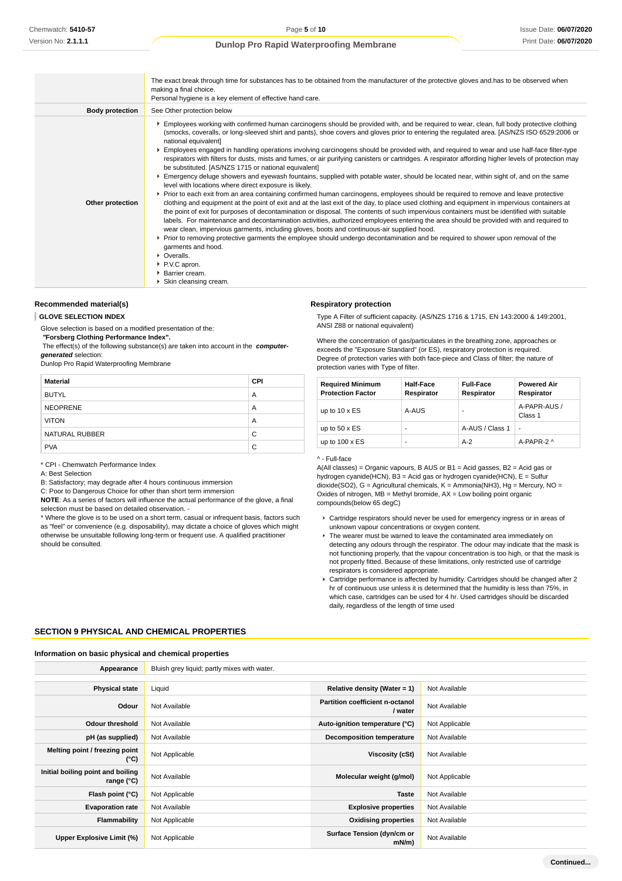|                        | The exact break through time for substances has to be obtained from the manufacturer of the protective gloves and has to be observed when<br>making a final choice.<br>Personal hygiene is a key element of effective hand care.                                                                                                                                                                                                                                                                                                                                                                                                                                                                                                                                                                                                                                                                                                                                                                                                                                                                                                                                                                                                                                                                                                                                                                                                                                                                                                                                                                                                                                                                                                                                                                           |
|------------------------|------------------------------------------------------------------------------------------------------------------------------------------------------------------------------------------------------------------------------------------------------------------------------------------------------------------------------------------------------------------------------------------------------------------------------------------------------------------------------------------------------------------------------------------------------------------------------------------------------------------------------------------------------------------------------------------------------------------------------------------------------------------------------------------------------------------------------------------------------------------------------------------------------------------------------------------------------------------------------------------------------------------------------------------------------------------------------------------------------------------------------------------------------------------------------------------------------------------------------------------------------------------------------------------------------------------------------------------------------------------------------------------------------------------------------------------------------------------------------------------------------------------------------------------------------------------------------------------------------------------------------------------------------------------------------------------------------------------------------------------------------------------------------------------------------------|
| <b>Body protection</b> | See Other protection below                                                                                                                                                                                                                                                                                                                                                                                                                                                                                                                                                                                                                                                                                                                                                                                                                                                                                                                                                                                                                                                                                                                                                                                                                                                                                                                                                                                                                                                                                                                                                                                                                                                                                                                                                                                 |
| Other protection       | Employees working with confirmed human carcinogens should be provided with, and be required to wear, clean, full body protective clothing<br>(smocks, coveralls, or long-sleeved shirt and pants), shoe covers and gloves prior to entering the regulated area. [AS/NZS ISO 6529:2006 or<br>national equivalent]<br>Employees engaged in handling operations involving carcinogens should be provided with, and required to wear and use half-face filter-type<br>respirators with filters for dusts, mists and fumes, or air purifying canisters or cartridges. A respirator affording higher levels of protection may<br>be substituted. [AS/NZS 1715 or national equivalent]<br>Emergency deluge showers and eyewash fountains, supplied with potable water, should be located near, within sight of, and on the same<br>level with locations where direct exposure is likely.<br>▶ Prior to each exit from an area containing confirmed human carcinogens, employees should be required to remove and leave protective<br>clothing and equipment at the point of exit and at the last exit of the day, to place used clothing and equipment in impervious containers at<br>the point of exit for purposes of decontamination or disposal. The contents of such impervious containers must be identified with suitable<br>labels. For maintenance and decontamination activities, authorized employees entering the area should be provided with and required to<br>wear clean, impervious garments, including gloves, boots and continuous-air supplied hood.<br>► Prior to removing protective garments the employee should undergo decontamination and be required to shower upon removal of the<br>garments and hood.<br>• Overalls.<br>▶ P.V.C apron.<br>▶ Barrier cream.<br>Skin cleansing cream. |

#### **Recommended material(s)**

**GLOVE SELECTION INDEX**

Glove selection is based on a modified presentation of the:

## **"Forsberg Clothing Performance Index".**

 The effect(s) of the following substance(s) are taken into account in the **computergenerated** selection:

Dunlop Pro Rapid Waterproofing Membrane

| <b>Material</b> | <b>CPI</b> |
|-----------------|------------|
| <b>BUTYL</b>    | A          |
| <b>NEOPRENE</b> | A          |
| <b>VITON</b>    | A          |
| NATURAL RUBBER  | C          |
| <b>PVA</b>      | C          |

\* CPI - Chemwatch Performance Index

A: Best Selection

B: Satisfactory; may degrade after 4 hours continuous immersion

C: Poor to Dangerous Choice for other than short term immersion

**NOTE**: As a series of factors will influence the actual performance of the glove, a final selection must be based on detailed observation. -

\* Where the glove is to be used on a short term, casual or infrequent basis, factors such as "feel" or convenience (e.g. disposability), may dictate a choice of gloves which might otherwise be unsuitable following long-term or frequent use. A qualified practitioner should be consulted.

#### **Respiratory protection**

Type A Filter of sufficient capacity. (AS/NZS 1716 & 1715, EN 143:2000 & 149:2001, ANSI Z88 or national equivalent)

Where the concentration of gas/particulates in the breathing zone, approaches or exceeds the "Exposure Standard" (or ES), respiratory protection is required. Degree of protection varies with both face-piece and Class of filter; the nature of protection varies with Type of filter.

| <b>Required Minimum</b><br><b>Protection Factor</b> | <b>Half-Face</b><br>Respirator | <b>Full-Face</b><br>Respirator | <b>Powered Air</b><br>Respirator |
|-----------------------------------------------------|--------------------------------|--------------------------------|----------------------------------|
| up to $10 \times ES$                                | A-AUS                          | ۰                              | A-PAPR-AUS /<br>Class 1          |
| up to $50 \times ES$                                | -                              | A-AUS / Class 1                | ٠.                               |
| up to $100 \times ES$                               | -                              | $A-2$                          | A-PAPR-2 ^                       |

#### ^ - Full-face

A(All classes) = Organic vapours, B AUS or B1 = Acid gasses, B2 = Acid gas or hydrogen cyanide(HCN), B3 = Acid gas or hydrogen cyanide(HCN), E = Sulfur  $\frac{d}{dx}$  dioxide(SO2), G = Agricultural chemicals, K = Ammonia(NH3), Hg = Mercury, NO = Oxides of nitrogen,  $\overline{MB}$  = Methyl bromide,  $AX$  = Low boiling point organic compounds(below 65 degC)

- Cartridge respirators should never be used for emergency ingress or in areas of unknown vapour concentrations or oxygen content.
- ▶ The wearer must be warned to leave the contaminated area immediately on detecting any odours through the respirator. The odour may indicate that the mask is not functioning properly, that the vapour concentration is too high, or that the mask is not properly fitted. Because of these limitations, only restricted use of cartridge respirators is considered appropriate.
- Cartridge performance is affected by humidity. Cartridges should be changed after 2 hr of continuous use unless it is determined that the humidity is less than 75%, in which case, cartridges can be used for 4 hr. Used cartridges should be discarded daily, regardless of the length of time used

## **SECTION 9 PHYSICAL AND CHEMICAL PROPERTIES**

#### **Information on basic physical and chemical properties**

| Appearance                                               | Bluish grey liquid; partly mixes with water. |                                            |                |
|----------------------------------------------------------|----------------------------------------------|--------------------------------------------|----------------|
|                                                          |                                              |                                            |                |
| <b>Physical state</b>                                    | Liquid                                       | Relative density (Water = $1$ )            | Not Available  |
| Odour                                                    | Not Available                                | Partition coefficient n-octanol<br>/ water | Not Available  |
| <b>Odour threshold</b>                                   | Not Available                                | Auto-ignition temperature (°C)             | Not Applicable |
| pH (as supplied)                                         | Not Available                                | <b>Decomposition temperature</b>           | Not Available  |
| Melting point / freezing point<br>$(^{\circ}C)$          | Not Applicable                               | Viscosity (cSt)                            | Not Available  |
| Initial boiling point and boiling<br>range $(^{\circ}C)$ | Not Available                                | Molecular weight (g/mol)                   | Not Applicable |
| Flash point (°C)                                         | Not Applicable                               | <b>Taste</b>                               | Not Available  |
| <b>Evaporation rate</b>                                  | Not Available                                | <b>Explosive properties</b>                | Not Available  |
| Flammability                                             | Not Applicable                               | <b>Oxidising properties</b>                | Not Available  |
| Upper Explosive Limit (%)                                | Not Applicable                               | Surface Tension (dyn/cm or<br>$mN/m$ )     | Not Available  |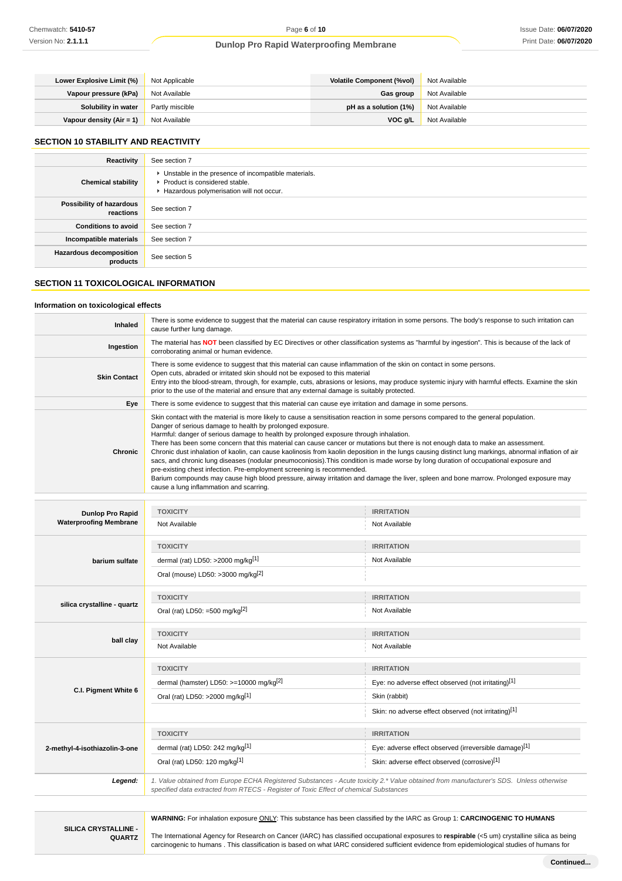| Lower Explosive Limit (%) | Not Applicable  | Volatile Component (%vol) | Not Available |
|---------------------------|-----------------|---------------------------|---------------|
| Vapour pressure (kPa)     | Not Available   | Gas group                 | Not Available |
| Solubility in water       | Partly miscible | pH as a solution $(1%)$   | Not Available |
| Vapour density (Air = 1)  | Not Available   | VOC a/L                   | Not Available |

## **SECTION 10 STABILITY AND REACTIVITY**

| Reactivity                                 | See section 7                                                                                                                        |
|--------------------------------------------|--------------------------------------------------------------------------------------------------------------------------------------|
| <b>Chemical stability</b>                  | • Unstable in the presence of incompatible materials.<br>▶ Product is considered stable.<br>Hazardous polymerisation will not occur. |
| Possibility of hazardous<br>reactions      | See section 7                                                                                                                        |
| <b>Conditions to avoid</b>                 | See section 7                                                                                                                        |
| Incompatible materials                     | See section 7                                                                                                                        |
| <b>Hazardous decomposition</b><br>products | See section 5                                                                                                                        |

# **SECTION 11 TOXICOLOGICAL INFORMATION**

## **Information on toxicological effects**

| Inhaled                                                  | There is some evidence to suggest that the material can cause respiratory irritation in some persons. The body's response to such irritation can<br>cause further lung damage.                                                                                                                                                                                                                                                                                                                                                                                                                                                                                                                                                                                                                                                                                                                                                                                                                |                                                                                                                                        |  |
|----------------------------------------------------------|-----------------------------------------------------------------------------------------------------------------------------------------------------------------------------------------------------------------------------------------------------------------------------------------------------------------------------------------------------------------------------------------------------------------------------------------------------------------------------------------------------------------------------------------------------------------------------------------------------------------------------------------------------------------------------------------------------------------------------------------------------------------------------------------------------------------------------------------------------------------------------------------------------------------------------------------------------------------------------------------------|----------------------------------------------------------------------------------------------------------------------------------------|--|
| Ingestion                                                | The material has NOT been classified by EC Directives or other classification systems as "harmful by ingestion". This is because of the lack of<br>corroborating animal or human evidence.                                                                                                                                                                                                                                                                                                                                                                                                                                                                                                                                                                                                                                                                                                                                                                                                    |                                                                                                                                        |  |
| <b>Skin Contact</b>                                      | There is some evidence to suggest that this material can cause inflammation of the skin on contact in some persons.<br>Open cuts, abraded or irritated skin should not be exposed to this material<br>Entry into the blood-stream, through, for example, cuts, abrasions or lesions, may produce systemic injury with harmful effects. Examine the skin<br>prior to the use of the material and ensure that any external damage is suitably protected.                                                                                                                                                                                                                                                                                                                                                                                                                                                                                                                                        |                                                                                                                                        |  |
| Eye                                                      | There is some evidence to suggest that this material can cause eye irritation and damage in some persons.                                                                                                                                                                                                                                                                                                                                                                                                                                                                                                                                                                                                                                                                                                                                                                                                                                                                                     |                                                                                                                                        |  |
| Chronic                                                  | Skin contact with the material is more likely to cause a sensitisation reaction in some persons compared to the general population.<br>Danger of serious damage to health by prolonged exposure.<br>Harmful: danger of serious damage to health by prolonged exposure through inhalation.<br>There has been some concern that this material can cause cancer or mutations but there is not enough data to make an assessment.<br>Chronic dust inhalation of kaolin, can cause kaolinosis from kaolin deposition in the lungs causing distinct lung markings, abnormal inflation of air<br>sacs, and chronic lung diseases (nodular pneumoconiosis). This condition is made worse by long duration of occupational exposure and<br>pre-existing chest infection. Pre-employment screening is recommended.<br>Barium compounds may cause high blood pressure, airway irritation and damage the liver, spleen and bone marrow. Prolonged exposure may<br>cause a lung inflammation and scarring. |                                                                                                                                        |  |
|                                                          |                                                                                                                                                                                                                                                                                                                                                                                                                                                                                                                                                                                                                                                                                                                                                                                                                                                                                                                                                                                               |                                                                                                                                        |  |
| <b>Dunlop Pro Rapid</b><br><b>Waterproofing Membrane</b> | <b>TOXICITY</b><br>Not Available                                                                                                                                                                                                                                                                                                                                                                                                                                                                                                                                                                                                                                                                                                                                                                                                                                                                                                                                                              | <b>IRRITATION</b><br>Not Available                                                                                                     |  |
|                                                          |                                                                                                                                                                                                                                                                                                                                                                                                                                                                                                                                                                                                                                                                                                                                                                                                                                                                                                                                                                                               |                                                                                                                                        |  |
|                                                          | <b>TOXICITY</b>                                                                                                                                                                                                                                                                                                                                                                                                                                                                                                                                                                                                                                                                                                                                                                                                                                                                                                                                                                               | <b>IRRITATION</b>                                                                                                                      |  |
| barium sulfate                                           | dermal (rat) LD50: >2000 mg/kg <sup>[1]</sup>                                                                                                                                                                                                                                                                                                                                                                                                                                                                                                                                                                                                                                                                                                                                                                                                                                                                                                                                                 | Not Available                                                                                                                          |  |
|                                                          | Oral (mouse) LD50: >3000 mg/kg <sup>[2]</sup>                                                                                                                                                                                                                                                                                                                                                                                                                                                                                                                                                                                                                                                                                                                                                                                                                                                                                                                                                 |                                                                                                                                        |  |
|                                                          | <b>TOXICITY</b>                                                                                                                                                                                                                                                                                                                                                                                                                                                                                                                                                                                                                                                                                                                                                                                                                                                                                                                                                                               | <b>IRRITATION</b>                                                                                                                      |  |
| silica crystalline - quartz                              | Oral (rat) LD50: =500 mg/kg $[2]$                                                                                                                                                                                                                                                                                                                                                                                                                                                                                                                                                                                                                                                                                                                                                                                                                                                                                                                                                             | Not Available                                                                                                                          |  |
|                                                          | <b>TOXICITY</b>                                                                                                                                                                                                                                                                                                                                                                                                                                                                                                                                                                                                                                                                                                                                                                                                                                                                                                                                                                               | <b>IRRITATION</b>                                                                                                                      |  |
| ball clay                                                | Not Available                                                                                                                                                                                                                                                                                                                                                                                                                                                                                                                                                                                                                                                                                                                                                                                                                                                                                                                                                                                 | Not Available                                                                                                                          |  |
|                                                          | <b>TOXICITY</b>                                                                                                                                                                                                                                                                                                                                                                                                                                                                                                                                                                                                                                                                                                                                                                                                                                                                                                                                                                               | <b>IRRITATION</b>                                                                                                                      |  |
|                                                          | dermal (hamster) LD50: >=10000 mg/kg <sup>[2]</sup>                                                                                                                                                                                                                                                                                                                                                                                                                                                                                                                                                                                                                                                                                                                                                                                                                                                                                                                                           | Eye: no adverse effect observed (not irritating)[1]                                                                                    |  |
| C.I. Pigment White 6                                     | Oral (rat) LD50: >2000 mg/kg[1]                                                                                                                                                                                                                                                                                                                                                                                                                                                                                                                                                                                                                                                                                                                                                                                                                                                                                                                                                               | Skin (rabbit)                                                                                                                          |  |
|                                                          |                                                                                                                                                                                                                                                                                                                                                                                                                                                                                                                                                                                                                                                                                                                                                                                                                                                                                                                                                                                               | Skin: no adverse effect observed (not irritating)[1]                                                                                   |  |
|                                                          | <b>TOXICITY</b>                                                                                                                                                                                                                                                                                                                                                                                                                                                                                                                                                                                                                                                                                                                                                                                                                                                                                                                                                                               | <b>IRRITATION</b>                                                                                                                      |  |
| 2-methyl-4-isothiazolin-3-one                            | dermal (rat) LD50: 242 mg/kg[1]                                                                                                                                                                                                                                                                                                                                                                                                                                                                                                                                                                                                                                                                                                                                                                                                                                                                                                                                                               | Eye: adverse effect observed (irreversible damage)[1]                                                                                  |  |
|                                                          | Oral (rat) LD50: 120 mg/kg[1]                                                                                                                                                                                                                                                                                                                                                                                                                                                                                                                                                                                                                                                                                                                                                                                                                                                                                                                                                                 | Skin: adverse effect observed (corrosive)[1]                                                                                           |  |
| Legend:                                                  | specified data extracted from RTECS - Register of Toxic Effect of chemical Substances                                                                                                                                                                                                                                                                                                                                                                                                                                                                                                                                                                                                                                                                                                                                                                                                                                                                                                         | 1. Value obtained from Europe ECHA Registered Substances - Acute toxicity 2.* Value obtained from manufacturer's SDS. Unless otherwise |  |

**WARNING:** For inhalation exposure ONLY: This substance has been classified by the IARC as Group 1: **CARCINOGENIC TO HUMANS**

**SILICA CRYSTALLINE - QUARTZ**

The International Agency for Research on Cancer (IARC) has classified occupational exposures to **respirable** (<5 um) crystalline silica as being carcinogenic to humans . This classification is based on what IARC considered sufficient evidence from epidemiological studies of humans for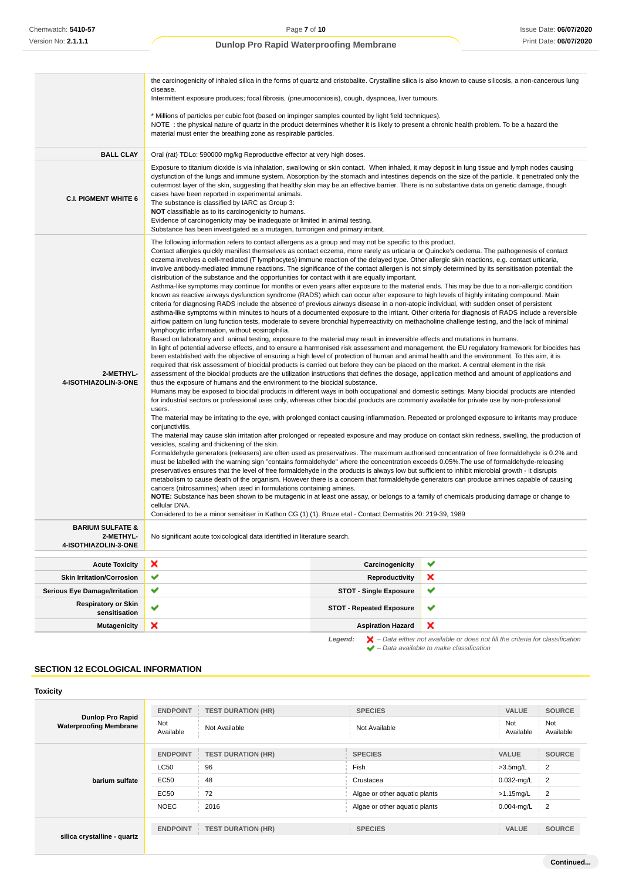|                                             | the carcinogenicity of inhaled silica in the forms of quartz and cristobalite. Crystalline silica is also known to cause silicosis, a non-cancerous lung<br>disease.                                                                                                                                                                                                                                                                                                                                                                                                                                                                                                                                                                                                                                                                                                                                                                                                                                                                                                                                                                                                                                                                                                                                                                                                                                                                                                                                                                                                                                                                                                                                                                                                                                                                                                                                                                                                                                                                                                                                                                                                                                                                                                                                                                                                                                                                                                                                                                                                                                                                                                                                                                                                                                                                                                                                                                                                                                                                                                                                                                                                                                                                                                                                                                                                                                                                                                                                                                                                                                                                                                                                                                                                                                                                                                            |                                 |   |  |
|---------------------------------------------|---------------------------------------------------------------------------------------------------------------------------------------------------------------------------------------------------------------------------------------------------------------------------------------------------------------------------------------------------------------------------------------------------------------------------------------------------------------------------------------------------------------------------------------------------------------------------------------------------------------------------------------------------------------------------------------------------------------------------------------------------------------------------------------------------------------------------------------------------------------------------------------------------------------------------------------------------------------------------------------------------------------------------------------------------------------------------------------------------------------------------------------------------------------------------------------------------------------------------------------------------------------------------------------------------------------------------------------------------------------------------------------------------------------------------------------------------------------------------------------------------------------------------------------------------------------------------------------------------------------------------------------------------------------------------------------------------------------------------------------------------------------------------------------------------------------------------------------------------------------------------------------------------------------------------------------------------------------------------------------------------------------------------------------------------------------------------------------------------------------------------------------------------------------------------------------------------------------------------------------------------------------------------------------------------------------------------------------------------------------------------------------------------------------------------------------------------------------------------------------------------------------------------------------------------------------------------------------------------------------------------------------------------------------------------------------------------------------------------------------------------------------------------------------------------------------------------------------------------------------------------------------------------------------------------------------------------------------------------------------------------------------------------------------------------------------------------------------------------------------------------------------------------------------------------------------------------------------------------------------------------------------------------------------------------------------------------------------------------------------------------------------------------------------------------------------------------------------------------------------------------------------------------------------------------------------------------------------------------------------------------------------------------------------------------------------------------------------------------------------------------------------------------------------------------------------------------------------------------------------------------------|---------------------------------|---|--|
|                                             | Intermittent exposure produces; focal fibrosis, (pneumoconiosis), cough, dyspnoea, liver tumours.                                                                                                                                                                                                                                                                                                                                                                                                                                                                                                                                                                                                                                                                                                                                                                                                                                                                                                                                                                                                                                                                                                                                                                                                                                                                                                                                                                                                                                                                                                                                                                                                                                                                                                                                                                                                                                                                                                                                                                                                                                                                                                                                                                                                                                                                                                                                                                                                                                                                                                                                                                                                                                                                                                                                                                                                                                                                                                                                                                                                                                                                                                                                                                                                                                                                                                                                                                                                                                                                                                                                                                                                                                                                                                                                                                               |                                 |   |  |
|                                             | * Millions of particles per cubic foot (based on impinger samples counted by light field techniques).<br>NOTE: the physical nature of quartz in the product determines whether it is likely to present a chronic health problem. To be a hazard the<br>material must enter the breathing zone as respirable particles.                                                                                                                                                                                                                                                                                                                                                                                                                                                                                                                                                                                                                                                                                                                                                                                                                                                                                                                                                                                                                                                                                                                                                                                                                                                                                                                                                                                                                                                                                                                                                                                                                                                                                                                                                                                                                                                                                                                                                                                                                                                                                                                                                                                                                                                                                                                                                                                                                                                                                                                                                                                                                                                                                                                                                                                                                                                                                                                                                                                                                                                                                                                                                                                                                                                                                                                                                                                                                                                                                                                                                          |                                 |   |  |
| <b>BALL CLAY</b>                            | Oral (rat) TDLo: 590000 mg/kg Reproductive effector at very high doses.                                                                                                                                                                                                                                                                                                                                                                                                                                                                                                                                                                                                                                                                                                                                                                                                                                                                                                                                                                                                                                                                                                                                                                                                                                                                                                                                                                                                                                                                                                                                                                                                                                                                                                                                                                                                                                                                                                                                                                                                                                                                                                                                                                                                                                                                                                                                                                                                                                                                                                                                                                                                                                                                                                                                                                                                                                                                                                                                                                                                                                                                                                                                                                                                                                                                                                                                                                                                                                                                                                                                                                                                                                                                                                                                                                                                         |                                 |   |  |
| <b>C.I. PIGMENT WHITE 6</b>                 | Exposure to titanium dioxide is via inhalation, swallowing or skin contact. When inhaled, it may deposit in lung tissue and lymph nodes causing<br>dysfunction of the lungs and immune system. Absorption by the stomach and intestines depends on the size of the particle. It penetrated only the<br>outermost layer of the skin, suggesting that healthy skin may be an effective barrier. There is no substantive data on genetic damage, though<br>cases have been reported in experimental animals.<br>The substance is classified by IARC as Group 3:<br>NOT classifiable as to its carcinogenicity to humans.<br>Evidence of carcinogenicity may be inadequate or limited in animal testing.                                                                                                                                                                                                                                                                                                                                                                                                                                                                                                                                                                                                                                                                                                                                                                                                                                                                                                                                                                                                                                                                                                                                                                                                                                                                                                                                                                                                                                                                                                                                                                                                                                                                                                                                                                                                                                                                                                                                                                                                                                                                                                                                                                                                                                                                                                                                                                                                                                                                                                                                                                                                                                                                                                                                                                                                                                                                                                                                                                                                                                                                                                                                                                            |                                 |   |  |
| 2-METHYL-<br>4-ISOTHIAZOLIN-3-ONE           | Substance has been investigated as a mutagen, tumorigen and primary irritant.<br>The following information refers to contact allergens as a group and may not be specific to this product.<br>Contact allergies quickly manifest themselves as contact eczema, more rarely as urticaria or Quincke's oedema. The pathogenesis of contact<br>eczema involves a cell-mediated (T lymphocytes) immune reaction of the delayed type. Other allergic skin reactions, e.g. contact urticaria,<br>involve antibody-mediated immune reactions. The significance of the contact allergen is not simply determined by its sensitisation potential: the<br>distribution of the substance and the opportunities for contact with it are equally important.<br>Asthma-like symptoms may continue for months or even years after exposure to the material ends. This may be due to a non-allergic condition<br>known as reactive airways dysfunction syndrome (RADS) which can occur after exposure to high levels of highly irritating compound. Main<br>criteria for diagnosing RADS include the absence of previous airways disease in a non-atopic individual, with sudden onset of persistent<br>asthma-like symptoms within minutes to hours of a documented exposure to the irritant. Other criteria for diagnosis of RADS include a reversible<br>airflow pattern on lung function tests, moderate to severe bronchial hyperreactivity on methacholine challenge testing, and the lack of minimal<br>lymphocytic inflammation, without eosinophilia.<br>Based on laboratory and animal testing, exposure to the material may result in irreversible effects and mutations in humans.<br>In light of potential adverse effects, and to ensure a harmonised risk assessment and management, the EU regulatory framework for biocides has<br>been established with the objective of ensuring a high level of protection of human and animal health and the environment. To this aim, it is<br>required that risk assessment of biocidal products is carried out before they can be placed on the market. A central element in the risk<br>assessment of the biocidal products are the utilization instructions that defines the dosage, application method and amount of applications and<br>thus the exposure of humans and the environment to the biocidal substance.<br>Humans may be exposed to biocidal products in different ways in both occupational and domestic settings. Many biocidal products are intended<br>for industrial sectors or professional uses only, whereas other biocidal products are commonly available for private use by non-professional<br>users.<br>The material may be irritating to the eye, with prolonged contact causing inflammation. Repeated or prolonged exposure to irritants may produce<br>conjunctivitis.<br>The material may cause skin irritation after prolonged or repeated exposure and may produce on contact skin redness, swelling, the production of<br>vesicles, scaling and thickening of the skin.<br>Formaldehyde generators (releasers) are often used as preservatives. The maximum authorised concentration of free formaldehyde is 0.2% and<br>must be labelled with the warning sign "contains formaldehyde" where the concentration exceeds 0.05%. The use of formaldehyde-releasing<br>preservatives ensures that the level of free formaldehyde in the products is always low but sufficient to inhibit microbial growth - it disrupts<br>metabolism to cause death of the organism. However there is a concern that formaldehyde generators can produce amines capable of causing<br>cancers (nitrosamines) when used in formulations containing amines.<br>NOTE: Substance has been shown to be mutagenic in at least one assay, or belongs to a family of chemicals producing damage or change to<br>cellular DNA. |                                 |   |  |
| <b>BARIUM SULFATE &amp;</b>                 | Considered to be a minor sensitiser in Kathon CG (1) (1). Bruze etal - Contact Dermatitis 20: 219-39, 1989                                                                                                                                                                                                                                                                                                                                                                                                                                                                                                                                                                                                                                                                                                                                                                                                                                                                                                                                                                                                                                                                                                                                                                                                                                                                                                                                                                                                                                                                                                                                                                                                                                                                                                                                                                                                                                                                                                                                                                                                                                                                                                                                                                                                                                                                                                                                                                                                                                                                                                                                                                                                                                                                                                                                                                                                                                                                                                                                                                                                                                                                                                                                                                                                                                                                                                                                                                                                                                                                                                                                                                                                                                                                                                                                                                      |                                 |   |  |
| 2-METHYL-<br>4-ISOTHIAZOLIN-3-ONE           | No significant acute toxicological data identified in literature search.                                                                                                                                                                                                                                                                                                                                                                                                                                                                                                                                                                                                                                                                                                                                                                                                                                                                                                                                                                                                                                                                                                                                                                                                                                                                                                                                                                                                                                                                                                                                                                                                                                                                                                                                                                                                                                                                                                                                                                                                                                                                                                                                                                                                                                                                                                                                                                                                                                                                                                                                                                                                                                                                                                                                                                                                                                                                                                                                                                                                                                                                                                                                                                                                                                                                                                                                                                                                                                                                                                                                                                                                                                                                                                                                                                                                        |                                 |   |  |
| <b>Acute Toxicity</b>                       | ×                                                                                                                                                                                                                                                                                                                                                                                                                                                                                                                                                                                                                                                                                                                                                                                                                                                                                                                                                                                                                                                                                                                                                                                                                                                                                                                                                                                                                                                                                                                                                                                                                                                                                                                                                                                                                                                                                                                                                                                                                                                                                                                                                                                                                                                                                                                                                                                                                                                                                                                                                                                                                                                                                                                                                                                                                                                                                                                                                                                                                                                                                                                                                                                                                                                                                                                                                                                                                                                                                                                                                                                                                                                                                                                                                                                                                                                                               | Carcinogenicity                 | ✔ |  |
| <b>Skin Irritation/Corrosion</b>            | ✔                                                                                                                                                                                                                                                                                                                                                                                                                                                                                                                                                                                                                                                                                                                                                                                                                                                                                                                                                                                                                                                                                                                                                                                                                                                                                                                                                                                                                                                                                                                                                                                                                                                                                                                                                                                                                                                                                                                                                                                                                                                                                                                                                                                                                                                                                                                                                                                                                                                                                                                                                                                                                                                                                                                                                                                                                                                                                                                                                                                                                                                                                                                                                                                                                                                                                                                                                                                                                                                                                                                                                                                                                                                                                                                                                                                                                                                                               | Reproductivity                  | × |  |
| <b>Serious Eye Damage/Irritation</b>        | ✔                                                                                                                                                                                                                                                                                                                                                                                                                                                                                                                                                                                                                                                                                                                                                                                                                                                                                                                                                                                                                                                                                                                                                                                                                                                                                                                                                                                                                                                                                                                                                                                                                                                                                                                                                                                                                                                                                                                                                                                                                                                                                                                                                                                                                                                                                                                                                                                                                                                                                                                                                                                                                                                                                                                                                                                                                                                                                                                                                                                                                                                                                                                                                                                                                                                                                                                                                                                                                                                                                                                                                                                                                                                                                                                                                                                                                                                                               | <b>STOT - Single Exposure</b>   | ✔ |  |
| <b>Respiratory or Skin</b><br>sensitisation | v                                                                                                                                                                                                                                                                                                                                                                                                                                                                                                                                                                                                                                                                                                                                                                                                                                                                                                                                                                                                                                                                                                                                                                                                                                                                                                                                                                                                                                                                                                                                                                                                                                                                                                                                                                                                                                                                                                                                                                                                                                                                                                                                                                                                                                                                                                                                                                                                                                                                                                                                                                                                                                                                                                                                                                                                                                                                                                                                                                                                                                                                                                                                                                                                                                                                                                                                                                                                                                                                                                                                                                                                                                                                                                                                                                                                                                                                               | <b>STOT - Repeated Exposure</b> | ✔ |  |
| <b>Mutagenicity</b>                         | ×                                                                                                                                                                                                                                                                                                                                                                                                                                                                                                                                                                                                                                                                                                                                                                                                                                                                                                                                                                                                                                                                                                                                                                                                                                                                                                                                                                                                                                                                                                                                                                                                                                                                                                                                                                                                                                                                                                                                                                                                                                                                                                                                                                                                                                                                                                                                                                                                                                                                                                                                                                                                                                                                                                                                                                                                                                                                                                                                                                                                                                                                                                                                                                                                                                                                                                                                                                                                                                                                                                                                                                                                                                                                                                                                                                                                                                                                               | <b>Aspiration Hazard</b>        | × |  |

**Legend:**  $\mathbf{X}$  – Data either not available or does not fill the criteria for classification – Data available to make classification

# **SECTION 12 ECOLOGICAL INFORMATION**

| <b>Toxicity</b>                                          |                  |                           |                               |                  |                  |
|----------------------------------------------------------|------------------|---------------------------|-------------------------------|------------------|------------------|
| <b>Dunlop Pro Rapid</b><br><b>Waterproofing Membrane</b> | <b>ENDPOINT</b>  | <b>TEST DURATION (HR)</b> | <b>SPECIES</b>                | <b>VALUE</b>     | <b>SOURCE</b>    |
|                                                          | Not<br>Available | Not Available             | Not Available                 | Not<br>Available | Not<br>Available |
|                                                          | <b>ENDPOINT</b>  | <b>TEST DURATION (HR)</b> | <b>SPECIES</b>                | <b>VALUE</b>     | <b>SOURCE</b>    |
|                                                          | <b>LC50</b>      | 96                        | Fish                          | $>3.5$ mg/L      | $\overline{2}$   |
| barium sulfate                                           | <b>EC50</b>      | 48                        | Crustacea                     | $0.032$ -mg/L    | $\overline{2}$   |
|                                                          | <b>EC50</b>      | 72                        | Algae or other aquatic plants | $>1.15$ mg/L     | $\overline{2}$   |
|                                                          | <b>NOEC</b>      | 2016                      | Algae or other aquatic plants | 0.004-mg/L       | $\overline{2}$   |
|                                                          | <b>ENDPOINT</b>  | <b>TEST DURATION (HR)</b> | <b>SPECIES</b>                | <b>VALUE</b>     | <b>SOURCE</b>    |
| silica crystalline - quartz                              |                  |                           |                               |                  |                  |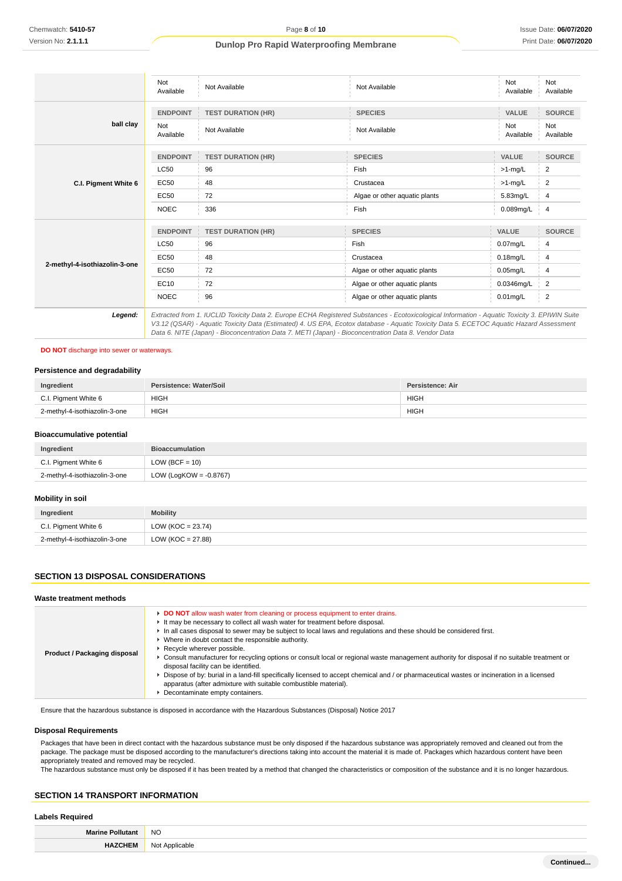|                               | Not<br>Available        | Not Available             | Not Available                                                                                                                                                                                                                                                                                                                                                                                                                                                                                                    | Not<br>Available | Not<br>Available |
|-------------------------------|-------------------------|---------------------------|------------------------------------------------------------------------------------------------------------------------------------------------------------------------------------------------------------------------------------------------------------------------------------------------------------------------------------------------------------------------------------------------------------------------------------------------------------------------------------------------------------------|------------------|------------------|
|                               | <b>ENDPOINT</b>         | <b>TEST DURATION (HR)</b> | <b>SPECIES</b>                                                                                                                                                                                                                                                                                                                                                                                                                                                                                                   | <b>VALUE</b>     | <b>SOURCE</b>    |
| ball clay                     | <b>Not</b><br>Available | Not Available             | Not Available                                                                                                                                                                                                                                                                                                                                                                                                                                                                                                    | Not<br>Available | Not<br>Available |
|                               | <b>ENDPOINT</b>         | <b>TEST DURATION (HR)</b> | <b>SPECIES</b>                                                                                                                                                                                                                                                                                                                                                                                                                                                                                                   | <b>VALUE</b>     | <b>SOURCE</b>    |
|                               | <b>LC50</b>             | 96                        | Fish                                                                                                                                                                                                                                                                                                                                                                                                                                                                                                             | $>1$ -mg/L       | 2                |
| C.I. Pigment White 6          | <b>EC50</b>             | 48                        | Crustacea                                                                                                                                                                                                                                                                                                                                                                                                                                                                                                        | $>1$ -mg/L       | 2                |
|                               | <b>EC50</b>             | 72                        | Algae or other aquatic plants                                                                                                                                                                                                                                                                                                                                                                                                                                                                                    | 5.83mg/L         | $\overline{4}$   |
|                               | <b>NOEC</b>             | 336                       | Fish                                                                                                                                                                                                                                                                                                                                                                                                                                                                                                             | 0.089mg/L        | $\overline{4}$   |
|                               | <b>ENDPOINT</b>         | <b>TEST DURATION (HR)</b> | <b>SPECIES</b>                                                                                                                                                                                                                                                                                                                                                                                                                                                                                                   | <b>VALUE</b>     | <b>SOURCE</b>    |
|                               | <b>LC50</b>             | 96                        | Fish                                                                                                                                                                                                                                                                                                                                                                                                                                                                                                             | $0.07$ mg/L      | 4                |
|                               | <b>EC50</b>             | 48                        | Crustacea                                                                                                                                                                                                                                                                                                                                                                                                                                                                                                        | $0.18$ mg/L      | 4                |
| 2-methyl-4-isothiazolin-3-one | EC50                    | 72                        | Algae or other aquatic plants                                                                                                                                                                                                                                                                                                                                                                                                                                                                                    | $0.05$ mg/L      | 4                |
|                               | EC10                    | 72                        | Algae or other aquatic plants                                                                                                                                                                                                                                                                                                                                                                                                                                                                                    | 0.0346mg/L       | 2                |
|                               | <b>NOEC</b>             | 96                        | Algae or other aquatic plants                                                                                                                                                                                                                                                                                                                                                                                                                                                                                    | $0.01$ mg/L      | 2                |
| Legend:                       |                         |                           | Extracted from 1. IUCLID Toxicity Data 2. Europe ECHA Registered Substances - Ecotoxicological Information - Aquatic Toxicity 3. EPIWIN Suite<br>$\overline{10}$ $\overline{10}$ $\overline{10}$ $\overline{10}$ $\overline{11}$ $\overline{11}$ $\overline{11}$ $\overline{11}$ $\overline{11}$ $\overline{11}$ $\overline{11}$ $\overline{11}$ $\overline{11}$ $\overline{11}$ $\overline{11}$ $\overline{11}$ $\overline{11}$ $\overline{11}$ $\overline{11}$ $\overline{11}$ $\overline{11}$ $\overline{11}$ |                  |                  |

V3.12 (QSAR) - Aquatic Toxicity Data (Estimated) 4. US EPA, Ecotox database - Aquatic Toxicity Data 5. ECETOC Aquatic Hazard Assessment Data 6. NITE (Japan) - Bioconcentration Data 7. METI (Japan) - Bioconcentration Data 8. Vendor Data

## **DO NOT** discharge into sewer or waterways.

## **Persistence and degradability**

| Ingredient                    | Persistence: Water/Soil | Persistence: Air |
|-------------------------------|-------------------------|------------------|
| C.I. Pigment White 6          | <b>HIGH</b>             | <b>HIGH</b>      |
| 2-methyl-4-isothiazolin-3-one | <b>HIGH</b>             | <b>HIGH</b>      |

#### **Bioaccumulative potential**

| Ingredient                    | <b>Bioaccumulation</b>    |
|-------------------------------|---------------------------|
| C.I. Pigment White 6          | $LOW (BCF = 10)$          |
| 2-methyl-4-isothiazolin-3-one | LOW (LogKOW = $-0.8767$ ) |

#### **Mobility in soil**

| Ingredient                    | <b>Mobility</b>      |
|-------------------------------|----------------------|
| C.I. Pigment White 6          | LOW (KOC = $23.74$ ) |
| 2-methyl-4-isothiazolin-3-one | LOW (KOC = 27.88)    |

## **SECTION 13 DISPOSAL CONSIDERATIONS**

#### **Waste treatment methods**

Ensure that the hazardous substance is disposed in accordance with the Hazardous Substances (Disposal) Notice 2017

#### **Disposal Requirements**

Packages that have been in direct contact with the hazardous substance must be only disposed if the hazardous substance was appropriately removed and cleaned out from the package. The package must be disposed according to the manufacturer's directions taking into account the material it is made of. Packages which hazardous content have been appropriately treated and removed may be recycled.

The hazardous substance must only be disposed if it has been treated by a method that changed the characteristics or composition of the substance and it is no longer hazardous.

## **SECTION 14 TRANSPORT INFORMATION**

# **Labels Required**

| <b>Marine Pollut</b> | <b>NO</b>      |  |
|----------------------|----------------|--|
|                      | Not Applicable |  |
|                      |                |  |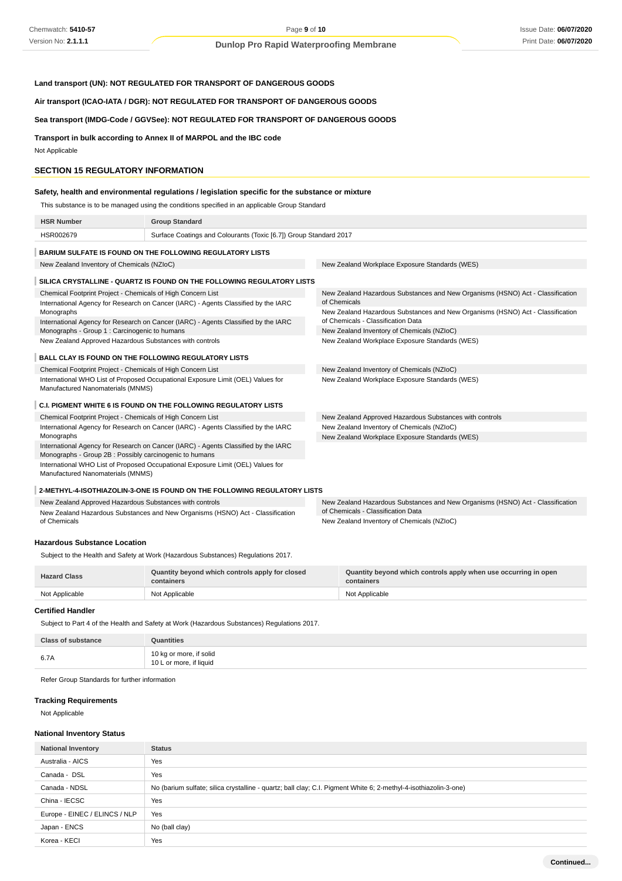# **Land transport (UN): NOT REGULATED FOR TRANSPORT OF DANGEROUS GOODS**

**Air transport (ICAO-IATA / DGR): NOT REGULATED FOR TRANSPORT OF DANGEROUS GOODS**

# **Sea transport (IMDG-Code / GGVSee): NOT REGULATED FOR TRANSPORT OF DANGEROUS GOODS**

**Transport in bulk according to Annex II of MARPOL and the IBC code**

Not Applicable

#### **SECTION 15 REGULATORY INFORMATION**

## **Safety, health and environmental regulations / legislation specific for the substance or mixture**

This substance is to be managed using the conditions specified in an applicable Group Standard

| <b>HSR Number</b>                                                                                                                             | <b>Group Standard</b>                                                              |                                                                                                                      |  |  |
|-----------------------------------------------------------------------------------------------------------------------------------------------|------------------------------------------------------------------------------------|----------------------------------------------------------------------------------------------------------------------|--|--|
| HSR002679                                                                                                                                     | Surface Coatings and Colourants (Toxic [6.7]) Group Standard 2017                  |                                                                                                                      |  |  |
|                                                                                                                                               | <b>BARIUM SULFATE IS FOUND ON THE FOLLOWING REGULATORY LISTS</b>                   |                                                                                                                      |  |  |
| New Zealand Inventory of Chemicals (NZIoC)                                                                                                    |                                                                                    | New Zealand Workplace Exposure Standards (WES)                                                                       |  |  |
| SILICA CRYSTALLINE - QUARTZ IS FOUND ON THE FOLLOWING REGULATORY LISTS                                                                        |                                                                                    |                                                                                                                      |  |  |
| Chemical Footprint Project - Chemicals of High Concern List                                                                                   |                                                                                    | New Zealand Hazardous Substances and New Organisms (HSNO) Act - Classification                                       |  |  |
|                                                                                                                                               | International Agency for Research on Cancer (IARC) - Agents Classified by the IARC | of Chemicals                                                                                                         |  |  |
| Monographs                                                                                                                                    | International Agency for Research on Cancer (IARC) - Agents Classified by the IARC | New Zealand Hazardous Substances and New Organisms (HSNO) Act - Classification<br>of Chemicals - Classification Data |  |  |
| Monographs - Group 1 : Carcinogenic to humans                                                                                                 |                                                                                    | New Zealand Inventory of Chemicals (NZIoC)                                                                           |  |  |
| New Zealand Approved Hazardous Substances with controls                                                                                       |                                                                                    | New Zealand Workplace Exposure Standards (WES)                                                                       |  |  |
|                                                                                                                                               |                                                                                    |                                                                                                                      |  |  |
| <b>BALL CLAY IS FOUND ON THE FOLLOWING REGULATORY LISTS</b>                                                                                   |                                                                                    |                                                                                                                      |  |  |
| Chemical Footprint Project - Chemicals of High Concern List                                                                                   |                                                                                    | New Zealand Inventory of Chemicals (NZIoC)                                                                           |  |  |
| International WHO List of Proposed Occupational Exposure Limit (OEL) Values for<br>Manufactured Nanomaterials (MNMS)                          |                                                                                    | New Zealand Workplace Exposure Standards (WES)                                                                       |  |  |
| C.I. PIGMENT WHITE 6 IS FOUND ON THE FOLLOWING REGULATORY LISTS                                                                               |                                                                                    |                                                                                                                      |  |  |
| Chemical Footprint Project - Chemicals of High Concern List                                                                                   |                                                                                    | New Zealand Approved Hazardous Substances with controls                                                              |  |  |
| International Agency for Research on Cancer (IARC) - Agents Classified by the IARC                                                            |                                                                                    | New Zealand Inventory of Chemicals (NZIoC)                                                                           |  |  |
| Monographs                                                                                                                                    |                                                                                    | New Zealand Workplace Exposure Standards (WES)                                                                       |  |  |
| International Agency for Research on Cancer (IARC) - Agents Classified by the IARC<br>Monographs - Group 2B : Possibly carcinogenic to humans |                                                                                    |                                                                                                                      |  |  |
| Manufactured Nanomaterials (MNMS)                                                                                                             | International WHO List of Proposed Occupational Exposure Limit (OEL) Values for    |                                                                                                                      |  |  |
| 2-METHYL-4-ISOTHIAZOLIN-3-ONE IS FOUND ON THE FOLLOWING REGULATORY LISTS                                                                      |                                                                                    |                                                                                                                      |  |  |

New Zealand Approved Hazardous Substances with controls New Zealand Hazardous Substances and New Organisms (HSNO) Act - Classification of Chemicals New Zealand Hazardous Substances and New Organisms (HSNO) Act - Classification of Chemicals - Classification Data New Zealand Inventory of Chemicals (NZIoC)

#### **Hazardous Substance Location**

Subject to the Health and Safety at Work (Hazardous Substances) Regulations 2017.

| <b>Hazard Class</b> | Quantity beyond which controls apply for closed<br>containers | Quantity beyond which controls apply when use occurring in open<br>containers |
|---------------------|---------------------------------------------------------------|-------------------------------------------------------------------------------|
| Not Applicable      | Not Applicable                                                | Not Applicable                                                                |

## **Certified Handler**

Subject to Part 4 of the Health and Safety at Work (Hazardous Substances) Regulations 2017.

| <b>Class of substance</b> | <b>Quantities</b>                                  |
|---------------------------|----------------------------------------------------|
| 6.7A                      | 10 kg or more, if solid<br>10 L or more, if liquid |

Refer Group Standards for further information

## **Tracking Requirements**

Not Applicable

#### **National Inventory Status**

| <b>National Inventory</b>     | <b>Status</b>                                                                                                    |
|-------------------------------|------------------------------------------------------------------------------------------------------------------|
| Australia - AICS              | Yes                                                                                                              |
| Canada - DSL                  | Yes                                                                                                              |
| Canada - NDSL                 | No (barium sulfate; silica crystalline - quartz; ball clay; C.I. Pigment White 6; 2-methyl-4-isothiazolin-3-one) |
| China - IECSC                 | Yes                                                                                                              |
| Europe - EINEC / ELINCS / NLP | Yes                                                                                                              |
| Japan - ENCS                  | No (ball clay)                                                                                                   |
| Korea - KECI                  | Yes                                                                                                              |